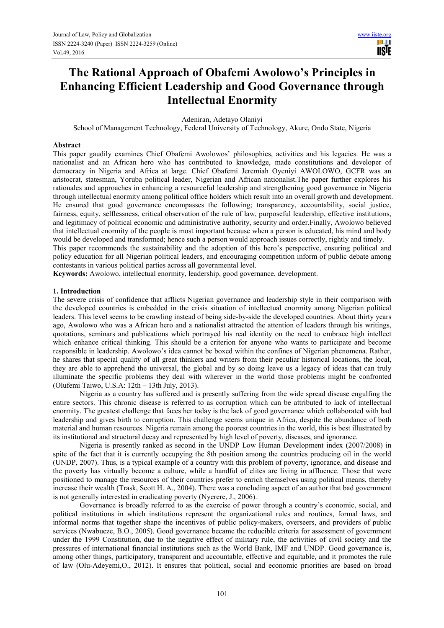# **The Rational Approach of Obafemi Awolowo's Principles in Enhancing Efficient Leadership and Good Governance through Intellectual Enormity**

Adeniran, Adetayo Olaniyi

School of Management Technology, Federal University of Technology, Akure, Ondo State, Nigeria

#### **Abstract**

This paper gaudily examines Chief Obafemi Awolowos' philosophies, activities and his legacies. He was a nationalist and an African hero who has contributed to knowledge, made constitutions and developer of democracy in Nigeria and Africa at large. Chief Obafemi Jeremiah Oyeniyi AWOLOWO, GCFR was an aristocrat, statesman, Yoruba political leader, Nigerian and African nationalist.The paper further explores his rationales and approaches in enhancing a resourceful leadership and strengthening good governance in Nigeria through intellectual enormity among political office holders which result into an overall growth and development. He ensured that good governance encompasses the following; transparency, accountability, social justice, fairness, equity, selflessness, critical observation of the rule of law, purposeful leadership, effective institutions, and legitimacy of political economic and administrative authority, security and order.Finally, Awolowo believed that intellectual enormity of the people is most important because when a person is educated, his mind and body would be developed and transformed; hence such a person would approach issues correctly, rightly and timely.

This paper recommends the sustainability and the adoption of this hero's perspective, ensuring political and policy education for all Nigerian political leaders, and encouraging competition inform of public debate among contestants in various political parties across all governmental level.

**Keywords:** Awolowo, intellectual enormity, leadership, good governance, development.

# **1. Introduction**

The severe crisis of confidence that afflicts Nigerian governance and leadership style in their comparison with the developed countries is embedded in the crisis situation of intellectual enormity among Nigerian political leaders. This level seems to be crawling instead of being side-by-side the developed countries. About thirty years ago, Awolowo who was a African hero and a nationalist attracted the attention of leaders through his writings, quotations, seminars and publications which portrayed his real identity on the need to embrace high intellect which enhance critical thinking. This should be a criterion for anyone who wants to participate and become responsible in leadership. Awolowo's idea cannot be boxed within the confines of Nigerian phenomena. Rather, he shares that special quality of all great thinkers and writers from their peculiar historical locations, the local, they are able to apprehend the universal, the global and by so doing leave us a legacy of ideas that can truly illuminate the specific problems they deal with wherever in the world those problems might be confronted (Olufemi Taiwo, U.S.A: 12th – 13th July, 2013).

Nigeria as a country has suffered and is presently suffering from the wide spread disease engulfing the entire sectors. This chronic disease is referred to as corruption which can be attributed to lack of intellectual enormity. The greatest challenge that faces her today is the lack of good governance which collaborated with bad leadership and gives birth to corruption. This challenge seems unique in Africa, despite the abundance of both material and human resources. Nigeria remain among the poorest countries in the world, this is best illustrated by its institutional and structural decay and represented by high level of poverty, diseases, and ignorance.

Nigeria is presently ranked as second in the UNDP Low Human Development index (2007/2008) in spite of the fact that it is currently occupying the 8th position among the countries producing oil in the world (UNDP, 2007). Thus, is a typical example of a country with this problem of poverty, ignorance, and disease and the poverty has virtually become a culture, while a handful of elites are living in affluence. Those that were positioned to manage the resources of their countries prefer to enrich themselves using political means, thereby increase their wealth (Trask, Scott H. A., 2004). There was a concluding aspect of an author that bad government is not generally interested in eradicating poverty (Nyerere, J., 2006).

Governance is broadly referred to as the exercise of power through a country's economic, social, and political institutions in which institutions represent the organizational rules and routines, formal laws, and informal norms that together shape the incentives of public policy-makers, overseers, and providers of public services (Nwabueze, B.O., 2005). Good governance became the reducible criteria for assessment of government under the 1999 Constitution, due to the negative effect of military rule, the activities of civil society and the pressures of international financial institutions such as the World Bank, IMF and UNDP. Good governance is, among other things, participatory, transparent and accountable, effective and equitable, and it promotes the rule of law (Olu-Adeyemi,O., 2012). It ensures that political, social and economic priorities are based on broad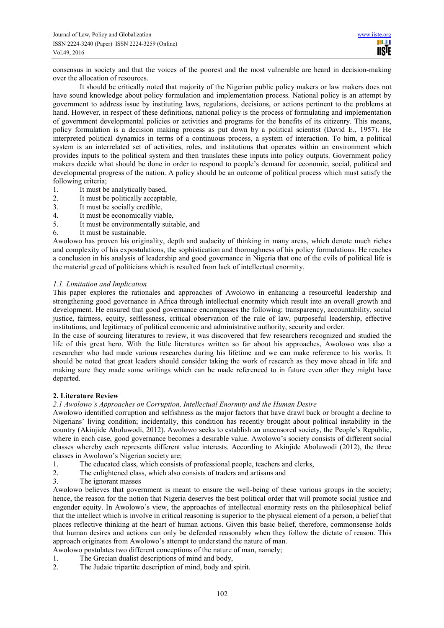consensus in society and that the voices of the poorest and the most vulnerable are heard in decision-making over the allocation of resources.

It should be critically noted that majority of the Nigerian public policy makers or law makers does not have sound knowledge about policy formulation and implementation process. National policy is an attempt by government to address issue by instituting laws, regulations, decisions, or actions pertinent to the problems at hand. However, in respect of these definitions, national policy is the process of formulating and implementation of government developmental policies or activities and programs for the benefits of its citizenry. This means, policy formulation is a decision making process as put down by a political scientist (David E., 1957). He interpreted political dynamics in terms of a continuous process, a system of interaction. To him, a political system is an interrelated set of activities, roles, and institutions that operates within an environment which provides inputs to the political system and then translates these inputs into policy outputs. Government policy makers decide what should be done in order to respond to people's demand for economic, social, political and developmental progress of the nation. A policy should be an outcome of political process which must satisfy the following criteria;

- 1. It must be analytically based,
- 2. It must be politically acceptable,
- 3. It must be socially credible,
- 4. It must be economically viable,
- 5. It must be environmentally suitable, and
- 6. It must be sustainable.

Awolowo has proven his originality, depth and audacity of thinking in many areas, which denote much riches and complexity of his expostulations, the sophistication and thoroughness of his policy formulations. He reaches a conclusion in his analysis of leadership and good governance in Nigeria that one of the evils of political life is the material greed of politicians which is resulted from lack of intellectual enormity.

## *1.1. Limitation and Implication*

This paper explores the rationales and approaches of Awolowo in enhancing a resourceful leadership and strengthening good governance in Africa through intellectual enormity which result into an overall growth and development. He ensured that good governance encompasses the following; transparency, accountability, social justice, fairness, equity, selflessness, critical observation of the rule of law, purposeful leadership, effective institutions, and legitimacy of political economic and administrative authority, security and order.

In the case of sourcing literatures to review, it was discovered that few researchers recognized and studied the life of this great hero. With the little literatures written so far about his approaches, Awolowo was also a researcher who had made various researches during his lifetime and we can make reference to his works. It should be noted that great leaders should consider taking the work of research as they move ahead in life and making sure they made some writings which can be made referenced to in future even after they might have departed.

## **2. Literature Review**

## *2.1 Awolowo's Approaches on Corruption, Intellectual Enormity and the Human Desire*

Awolowo identified corruption and selfishness as the major factors that have drawl back or brought a decline to Nigerians' living condition; incidentally, this condition has recently brought about political instability in the country (Akinjide Aboluwodi, 2012). Awolowo seeks to establish an uncensored society, the People's Republic, where in each case, good governance becomes a desirable value. Awolowo's society consists of different social classes whereby each represents different value interests. According to Akinjide Aboluwodi (2012), the three classes in Awolowo's Nigerian society are;

- 1. The educated class, which consists of professional people, teachers and clerks,
- 2. The enlightened class, which also consists of traders and artisans and
- 3. The ignorant masses

Awolowo believes that government is meant to ensure the well-being of these various groups in the society; hence, the reason for the notion that Nigeria deserves the best political order that will promote social justice and engender equity. In Awolowo's view, the approaches of intellectual enormity rests on the philosophical belief that the intellect which is involve in critical reasoning is superior to the physical element of a person, a belief that places reflective thinking at the heart of human actions. Given this basic belief, therefore, commonsense holds that human desires and actions can only be defended reasonably when they follow the dictate of reason. This approach originates from Awolowo's attempt to understand the nature of man.

- Awolowo postulates two different conceptions of the nature of man, namely;
- 1. The Grecian dualist descriptions of mind and body,
- 2. The Judaic tripartite description of mind, body and spirit.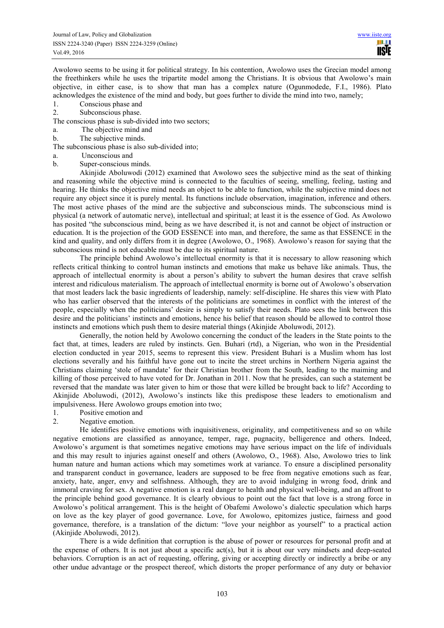Awolowo seems to be using it for political strategy. In his contention, Awolowo uses the Grecian model among the freethinkers while he uses the tripartite model among the Christians. It is obvious that Awolowo's main objective, in either case, is to show that man has a complex nature (Ogunmodede, F.I., 1986). Plato acknowledges the existence of the mind and body, but goes further to divide the mind into two, namely;

- 1. Conscious phase and
- 2. Subconscious phase.
- The conscious phase is sub-divided into two sectors;
- a. The objective mind and
- b. The subjective minds.
- The subconscious phase is also sub-divided into;
- a. Unconscious and
- b. Super-conscious minds.

Akinjide Aboluwodi (2012) examined that Awolowo sees the subjective mind as the seat of thinking and reasoning while the objective mind is connected to the faculties of seeing, smelling, feeling, tasting and hearing. He thinks the objective mind needs an object to be able to function, while the subjective mind does not require any object since it is purely mental. Its functions include observation, imagination, inference and others. The most active phases of the mind are the subjective and subconscious minds. The subconscious mind is physical (a network of automatic nerve), intellectual and spiritual; at least it is the essence of God. As Awolowo has posited "the subconscious mind, being as we have described it, is not and cannot be object of instruction or education. It is the projection of the GOD ESSENCE into man, and therefore, the same as that ESSENCE in the kind and quality, and only differs from it in degree (Awolowo, O., 1968). Awolowo's reason for saying that the subconscious mind is not educable must be due to its spiritual nature.

The principle behind Awolowo's intellectual enormity is that it is necessary to allow reasoning which reflects critical thinking to control human instincts and emotions that make us behave like animals. Thus, the approach of intellectual enormity is about a person's ability to subvert the human desires that crave selfish interest and ridiculous materialism. The approach of intellectual enormity is borne out of Awolowo's observation that most leaders lack the basic ingredients of leadership, namely: self-discipline. He shares this view with Plato who has earlier observed that the interests of the politicians are sometimes in conflict with the interest of the people, especially when the politicians' desire is simply to satisfy their needs. Plato sees the link between this desire and the politicians' instincts and emotions, hence his belief that reason should be allowed to control those instincts and emotions which push them to desire material things (Akinjide Aboluwodi, 2012).

Generally, the notion held by Awolowo concerning the conduct of the leaders in the State points to the fact that, at times, leaders are ruled by instincts. Gen. Buhari (rtd), a Nigerian, who won in the Presidential election conducted in year 2015, seems to represent this view. President Buhari is a Muslim whom has lost elections severally and his faithful have gone out to incite the street urchins in Northern Nigeria against the Christians claiming 'stole of mandate' for their Christian brother from the South, leading to the maiming and killing of those perceived to have voted for Dr. Jonathan in 2011. Now that he presides, can such a statement be reversed that the mandate was later given to him or those that were killed be brought back to life? According to Akinjide Aboluwodi, (2012), Awolowo's instincts like this predispose these leaders to emotionalism and impulsiveness. Here Awolowo groups emotion into two;

- 1. Positive emotion and
- 2. Negative emotion.

He identifies positive emotions with inquisitiveness, originality, and competitiveness and so on while negative emotions are classified as annoyance, temper, rage, pugnacity, belligerence and others. Indeed, Awolowo's argument is that sometimes negative emotions may have serious impact on the life of individuals and this may result to injuries against oneself and others (Awolowo, O., 1968). Also, Awolowo tries to link human nature and human actions which may sometimes work at variance. To ensure a disciplined personality and transparent conduct in governance, leaders are supposed to be free from negative emotions such as fear, anxiety, hate, anger, envy and selfishness. Although, they are to avoid indulging in wrong food, drink and immoral craving for sex. A negative emotion is a real danger to health and physical well-being, and an affront to the principle behind good governance. It is clearly obvious to point out the fact that love is a strong force in Awolowo's political arrangement. This is the height of Obafemi Awolowo's dialectic speculation which harps on love as the key player of good governance. Love, for Awolowo, epitomizes justice, fairness and good governance, therefore, is a translation of the dictum: "love your neighbor as yourself" to a practical action (Akinjide Aboluwodi, 2012).

There is a wide definition that corruption is the abuse of power or resources for personal profit and at the expense of others. It is not just about a specific act(s), but it is about our very mindsets and deep-seated behaviors. Corruption is an act of requesting, offering, giving or accepting directly or indirectly a bribe or any other undue advantage or the prospect thereof, which distorts the proper performance of any duty or behavior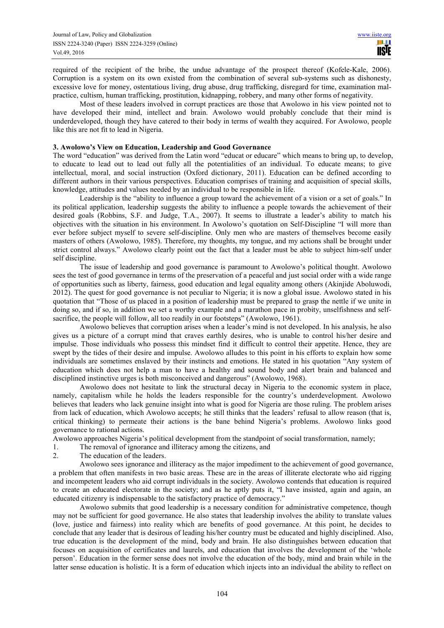required of the recipient of the bribe, the undue advantage of the prospect thereof (Kofele-Kale, 2006). Corruption is a system on its own existed from the combination of several sub-systems such as dishonesty, excessive love for money, ostentatious living, drug abuse, drug trafficking, disregard for time, examination malpractice, cultism, human trafficking, prostitution, kidnapping, robbery, and many other forms of negativity.

Most of these leaders involved in corrupt practices are those that Awolowo in his view pointed not to have developed their mind, intellect and brain. Awolowo would probably conclude that their mind is underdeveloped, though they have catered to their body in terms of wealth they acquired. For Awolowo, people like this are not fit to lead in Nigeria.

#### **3. Awolowo's View on Education, Leadership and Good Governance**

The word "education" was derived from the Latin word "educat or educare" which means to bring up, to develop, to educate to lead out to lead out fully all the potentialities of an individual. To educate means; to give intellectual, moral, and social instruction (Oxford dictionary, 2011). Education can be defined according to different authors in their various perspectives. Education comprises of training and acquisition of special skills, knowledge, attitudes and values needed by an individual to be responsible in life.

Leadership is the "ability to influence a group toward the achievement of a vision or a set of goals." In its political application, leadership suggests the ability to influence a people towards the achievement of their desired goals (Robbins, S.F. and Judge, T.A., 2007). It seems to illustrate a leader's ability to match his objectives with the situation in his environment. In Awolowo's quotation on Self-Discipline "I will more than ever before subject myself to severe self-discipline. Only men who are masters of themselves become easily masters of others (Awolowo, 1985). Therefore, my thoughts, my tongue, and my actions shall be brought under strict control always." Awolowo clearly point out the fact that a leader must be able to subject him-self under self discipline.

The issue of leadership and good governance is paramount to Awolowo's political thought. Awolowo sees the test of good governance in terms of the preservation of a peaceful and just social order with a wide range of opportunities such as liberty, fairness, good education and legal equality among others (Akinjide Aboluwodi, 2012). The quest for good governance is not peculiar to Nigeria; it is now a global issue. Awolowo stated in his quotation that "Those of us placed in a position of leadership must be prepared to grasp the nettle if we unite in doing so, and if so, in addition we set a worthy example and a marathon pace in probity, unselfishness and selfsacrifice, the people will follow, all too readily in our footsteps" (Awolowo, 1961).

Awolowo believes that corruption arises when a leader's mind is not developed. In his analysis, he also gives us a picture of a corrupt mind that craves earthly desires, who is unable to control his/her desire and impulse. Those individuals who possess this mindset find it difficult to control their appetite. Hence, they are swept by the tides of their desire and impulse. Awolowo alludes to this point in his efforts to explain how some individuals are sometimes enslaved by their instincts and emotions. He stated in his quotation "Any system of education which does not help a man to have a healthy and sound body and alert brain and balanced and disciplined instinctive urges is both misconceived and dangerous" (Awolowo, 1968).

Awolowo does not hesitate to link the structural decay in Nigeria to the economic system in place, namely, capitalism while he holds the leaders responsible for the country's underdevelopment. Awolowo believes that leaders who lack genuine insight into what is good for Nigeria are those ruling. The problem arises from lack of education, which Awolowo accepts; he still thinks that the leaders' refusal to allow reason (that is, critical thinking) to permeate their actions is the bane behind Nigeria's problems. Awolowo links good governance to rational actions.

Awolowo approaches Nigeria's political development from the standpoint of social transformation, namely;

- 1. The removal of ignorance and illiteracy among the citizens, and
- 2. The education of the leaders.

Awolowo sees ignorance and illiteracy as the major impediment to the achievement of good governance, a problem that often manifests in two basic areas. These are in the areas of illiterate electorate who aid rigging and incompetent leaders who aid corrupt individuals in the society. Awolowo contends that education is required to create an educated electorate in the society; and as he aptly puts it, "I have insisted, again and again, an educated citizenry is indispensable to the satisfactory practice of democracy."

Awolowo submits that good leadership is a necessary condition for administrative competence, though may not be sufficient for good governance. He also states that leadership involves the ability to translate values (love, justice and fairness) into reality which are benefits of good governance. At this point, he decides to conclude that any leader that is desirous of leading his/her country must be educated and highly disciplined. Also, true education is the development of the mind, body and brain. He also distinguishes between education that focuses on acquisition of certificates and laurels, and education that involves the development of the 'whole person'. Education in the former sense does not involve the education of the body, mind and brain while in the latter sense education is holistic. It is a form of education which injects into an individual the ability to reflect on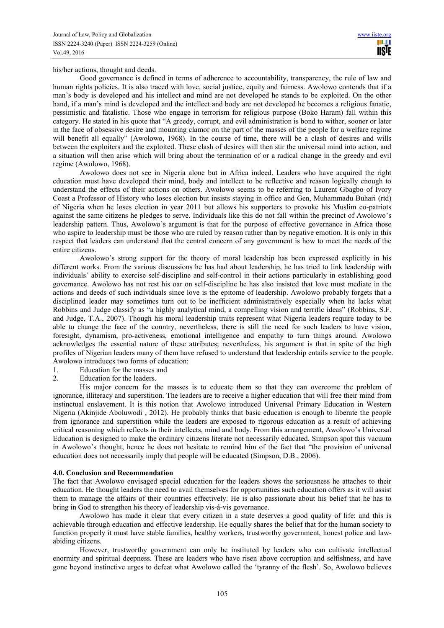his/her actions, thought and deeds.

Good governance is defined in terms of adherence to accountability, transparency, the rule of law and human rights policies. It is also traced with love, social justice, equity and fairness. Awolowo contends that if a man's body is developed and his intellect and mind are not developed he stands to be exploited. On the other hand, if a man's mind is developed and the intellect and body are not developed he becomes a religious fanatic, pessimistic and fatalistic. Those who engage in terrorism for religious purpose (Boko Haram) fall within this category. He stated in his quote that "A greedy, corrupt, and evil administration is bond to wither, sooner or later in the face of obsessive desire and mounting clamor on the part of the masses of the people for a welfare regime will benefit all equally" (Awolowo, 1968). In the course of time, there will be a clash of desires and wills between the exploiters and the exploited. These clash of desires will then stir the universal mind into action, and a situation will then arise which will bring about the termination of or a radical change in the greedy and evil regime (Awolowo, 1968).

Awolowo does not see in Nigeria alone but in Africa indeed. Leaders who have acquired the right education must have developed their mind, body and intellect to be reflective and reason logically enough to understand the effects of their actions on others. Awolowo seems to be referring to Laurent Gbagbo of Ivory Coast a Professor of History who loses election but insists staying in office and Gen, Muhammadu Buhari (rtd) of Nigeria when he loses election in year 2011 but allows his supporters to provoke his Muslim co-patriots against the same citizens he pledges to serve. Individuals like this do not fall within the precinct of Awolowo's leadership pattern. Thus, Awolowo's argument is that for the purpose of effective governance in Africa those who aspire to leadership must be those who are ruled by reason rather than by negative emotion. It is only in this respect that leaders can understand that the central concern of any government is how to meet the needs of the entire citizens.

Awolowo's strong support for the theory of moral leadership has been expressed explicitly in his different works. From the various discussions he has had about leadership, he has tried to link leadership with individuals' ability to exercise self-discipline and self-control in their actions particularly in establishing good governance. Awolowo has not rest his oar on self-discipline he has also insisted that love must mediate in the actions and deeds of such individuals since love is the epitome of leadership. Awolowo probably forgets that a disciplined leader may sometimes turn out to be inefficient administratively especially when he lacks what Robbins and Judge classify as "a highly analytical mind, a compelling vision and terrific ideas" (Robbins, S.F. and Judge, T.A., 2007). Though his moral leadership traits represent what Nigeria leaders require today to be able to change the face of the country, nevertheless, there is still the need for such leaders to have vision, foresight, dynamism, pro-activeness, emotional intelligence and empathy to turn things around. Awolowo acknowledges the essential nature of these attributes; nevertheless, his argument is that in spite of the high profiles of Nigerian leaders many of them have refused to understand that leadership entails service to the people. Awolowo introduces two forms of education:

- 1. Education for the masses and
- 2. Education for the leaders.

His major concern for the masses is to educate them so that they can overcome the problem of ignorance, illiteracy and superstition. The leaders are to receive a higher education that will free their mind from instinctual enslavement. It is this notion that Awolowo introduced Universal Primary Education in Western Nigeria (Akinjide Aboluwodi , 2012). He probably thinks that basic education is enough to liberate the people from ignorance and superstition while the leaders are exposed to rigorous education as a result of achieving critical reasoning which reflects in their intellects, mind and body. From this arrangement, Awolowo's Universal Education is designed to make the ordinary citizens literate not necessarily educated. Simpson spot this vacuum in Awolowo's thought, hence he does not hesitate to remind him of the fact that "the provision of universal education does not necessarily imply that people will be educated (Simpson, D.B., 2006).

#### **4.0. Conclusion and Recommendation**

The fact that Awolowo envisaged special education for the leaders shows the seriousness he attaches to their education. He thought leaders the need to avail themselves for opportunities such education offers as it will assist them to manage the affairs of their countries effectively. He is also passionate about his belief that he has to bring in God to strengthen his theory of leadership vis-à-vis governance.

Awolowo has made it clear that every citizen in a state deserves a good quality of life; and this is achievable through education and effective leadership. He equally shares the belief that for the human society to function properly it must have stable families, healthy workers, trustworthy government, honest police and lawabiding citizens.

However, trustworthy government can only be instituted by leaders who can cultivate intellectual enormity and spiritual deepness. These are leaders who have risen above corruption and selfishness, and have gone beyond instinctive urges to defeat what Awolowo called the 'tyranny of the flesh'. So, Awolowo believes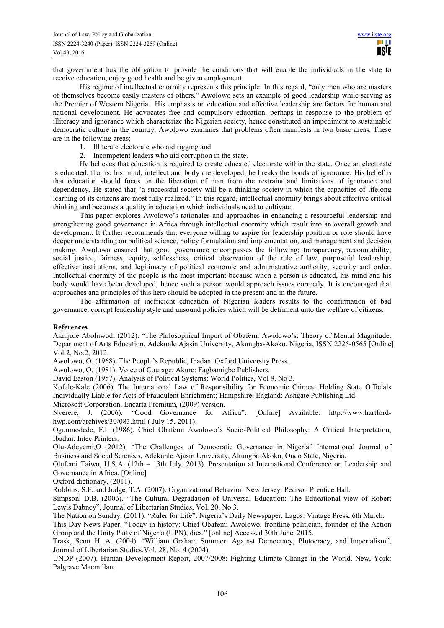that government has the obligation to provide the conditions that will enable the individuals in the state to receive education, enjoy good health and be given employment.

His regime of intellectual enormity represents this principle. In this regard, "only men who are masters of themselves become easily masters of others." Awolowo sets an example of good leadership while serving as the Premier of Western Nigeria. His emphasis on education and effective leadership are factors for human and national development. He advocates free and compulsory education, perhaps in response to the problem of illiteracy and ignorance which characterize the Nigerian society, hence constituted an impediment to sustainable democratic culture in the country. Awolowo examines that problems often manifests in two basic areas. These are in the following areas;

- 1. Illiterate electorate who aid rigging and
- 2. Incompetent leaders who aid corruption in the state.

He believes that education is required to create educated electorate within the state. Once an electorate is educated, that is, his mind, intellect and body are developed; he breaks the bonds of ignorance. His belief is that education should focus on the liberation of man from the restraint and limitations of ignorance and dependency. He stated that "a successful society will be a thinking society in which the capacities of lifelong learning of its citizens are most fully realized." In this regard, intellectual enormity brings about effective critical thinking and becomes a quality in education which individuals need to cultivate.

This paper explores Awolowo's rationales and approaches in enhancing a resourceful leadership and strengthening good governance in Africa through intellectual enormity which result into an overall growth and development. It further recommends that everyone willing to aspire for leadership position or role should have deeper understanding on political science, policy formulation and implementation, and management and decision making. Awolowo ensured that good governance encompasses the following; transparency, accountability, social justice, fairness, equity, selflessness, critical observation of the rule of law, purposeful leadership, effective institutions, and legitimacy of political economic and administrative authority, security and order. Intellectual enormity of the people is the most important because when a person is educated, his mind and his body would have been developed; hence such a person would approach issues correctly. It is encouraged that approaches and principles of this hero should be adopted in the present and in the future.

The affirmation of inefficient education of Nigerian leaders results to the confirmation of bad governance, corrupt leadership style and unsound policies which will be detriment unto the welfare of citizens.

#### **References**

Akinjide Aboluwodi (2012). "The Philosophical Import of Obafemi Awolowo's: Theory of Mental Magnitude. Department of Arts Education, Adekunle Ajasin University, Akungba-Akoko, Nigeria, ISSN 2225-0565 [Online] Vol 2, No.2, 2012.

Awolowo, O. (1968). The People's Republic, Ibadan: Oxford University Press.

Awolowo, O. (1981). Voice of Courage, Akure: Fagbamigbe Publishers.

David Easton (1957). Analysis of Political Systems: World Politics, Vol 9, No 3.

Kofele-Kale (2006). The International Law of Responsibility for Economic Crimes: Holding State Officials Individually Liable for Acts of Fraudulent Enrichment; Hampshire, England: Ashgate Publishing Ltd.

Microsoft Corporation, Encarta Premium, (2009) version.<br>Nyerere. J. (2006). "Good Governance for A

"Good Governance for Africa". [Online] Available: http://www.hartfordhwp.com/archives/30/083.html ( July 15, 2011).

Ogunmodede, F.I. (1986). Chief Obafemi Awolowo's Socio-Political Philosophy: A Critical Interpretation, Ibadan: Intec Printers.

Olu-Adeyemi,O (2012). "The Challenges of Democratic Governance in Nigeria" International Journal of Business and Social Sciences, Adekunle Ajasin University, Akungba Akoko, Ondo State, Nigeria.

Olufemi Taiwo, U.S.A: (12th – 13th July, 2013). Presentation at International Conference on Leadership and Governance in Africa. [Online]

Oxford dictionary, (2011).

Robbins, S.F. and Judge, T.A. (2007). Organizational Behavior, New Jersey: Pearson Prentice Hall.

Simpson, D.B. (2006). "The Cultural Degradation of Universal Education: The Educational view of Robert Lewis Dabney", Journal of Libertarian Studies, Vol. 20, No 3.

The Nation on Sunday, (2011), "Ruler for Life". Nigeria's Daily Newspaper, Lagos: Vintage Press, 6th March.

This Day News Paper, "Today in history: Chief Obafemi Awolowo, frontline politician, founder of the Action Group and the Unity Party of Nigeria (UPN), dies." [online] Accessed 30th June, 2015.

Trask, Scott H. A. (2004). "William Graham Summer: Against Democracy, Plutocracy, and Imperialism", Journal of Libertarian Studies,Vol. 28, No. 4 (2004).

UNDP (2007). Human Development Report, 2007/2008: Fighting Climate Change in the World. New, York: Palgrave Macmillan.